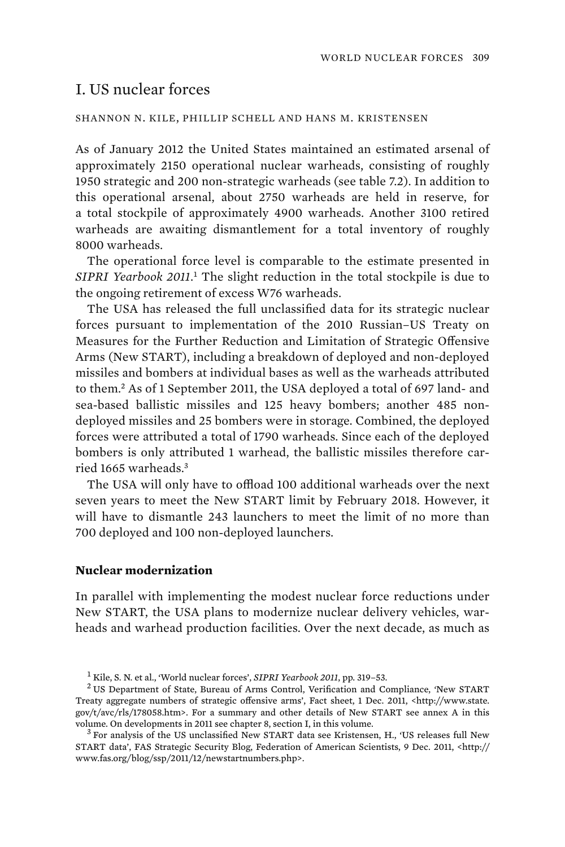# I. US nuclear forces

#### SHANNON N. KILE, PHILLIP SCHELL AND HANS M. KRISTENSEN

As of January 2012 the United States maintained an estimated arsenal of approximately 2150 operational nuclear warheads, consisting of roughly 1950 strategic and 200 non-strategic warheads (see table 7.2). In addition to this operational arsenal, about 2750 warheads are held in reserve, for a total stockpile of approximately 4900 warheads. Another 3100 retired warheads are awaiting dismantlement for a total inventory of roughly 8000 warheads.

The operational force level is comparable to the estimate presented in *SIPRI Yearbook 2011*. 1 The slight reduction in the total stockpile is due to the ongoing retirement of excess W76 warheads.

The USA has released the full unclassified data for its strategic nuclear forces pursuant to implementation of the 2010 Russian–US Treaty on Measures for the Further Reduction and Limitation of Strategic Offensive Arms (New START), including a breakdown of deployed and non-deployed missiles and bombers at individual bases as well as the warheads attributed to them.<sup>2</sup> As of 1 September 2011, the USA deployed a total of 697 land- and sea-based ballistic missiles and 125 heavy bombers; another 485 nondeployed missiles and 25 bombers were in storage. Combined, the deployed forces were attributed a total of 1790 warheads. Since each of the deployed bombers is only attributed 1 warhead, the ballistic missiles therefore carried 1665 warheads.<sup>3</sup>

The USA will only have to offload 100 additional warheads over the next seven years to meet the New START limit by February 2018. However, it will have to dismantle 243 launchers to meet the limit of no more than 700 deployed and 100 non-deployed launchers.

#### **Nuclear modernization**

In parallel with implementing the modest nuclear force reductions under New START, the USA plans to modernize nuclear delivery vehicles, warheads and warhead production facilities. Over the next decade, as much as

<sup>&</sup>lt;sup>1</sup> Kile, S. N. et al., 'World nuclear forces', *SIPRI Yearbook 2011*, pp. 319–53.<br><sup>2</sup> US Department of State, Burgeu of Arms Control, Verification and Co

<sup>&</sup>lt;sup>2</sup> US Department of State, Bureau of Arms Control, Verification and Compliance, 'New START Treaty aggregate numbers of strategic offensive arms', Fact sheet, 1 Dec. 2011, <http://www.state. gov/t/avc/rls/178058.htm>. For a summary and other details of New START see annex A in this volume. On developments in 2011 see chapter 8, section I, in this volume. <sup>3</sup>

<sup>&</sup>lt;sup>3</sup> For analysis of the US unclassified New START data see Kristensen, H., 'US releases full New START data', FAS Strategic Security Blog, Federation of American Scientists, 9 Dec. 2011, <http:// www.fas.org/blog/ssp/2011/12/newstartnumbers.php>.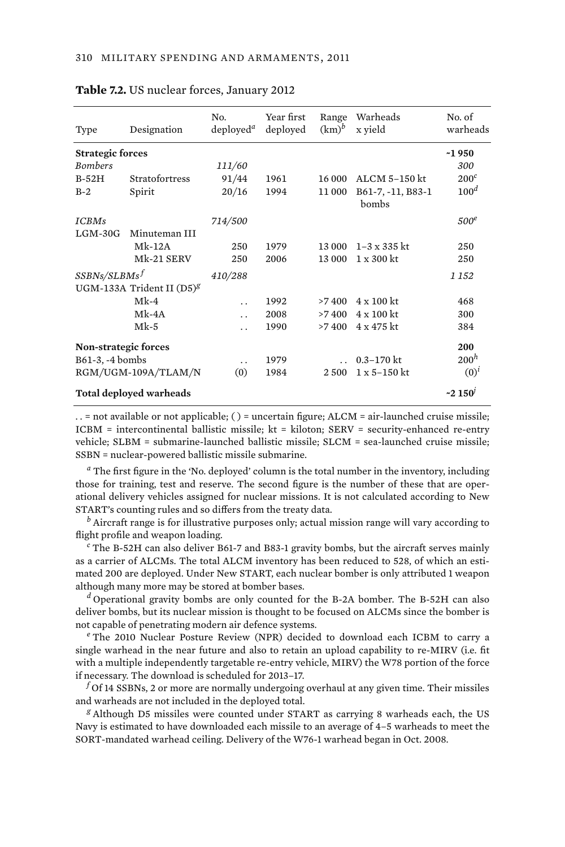| Type                        | Designation                    | No.<br>deploved <sup>a</sup> | Year first<br>deployed | Range<br>$(km)^b$ | Warheads<br>x vield        | No. of<br>warheads |
|-----------------------------|--------------------------------|------------------------------|------------------------|-------------------|----------------------------|--------------------|
| <b>Strategic forces</b>     |                                |                              |                        |                   |                            | ~1950              |
| <b>Bombers</b>              |                                | 111/60                       |                        |                   |                            | 300                |
| $B-52H$                     | Stratofortress                 | 91/44                        | 1961                   | 16 000            | ALCM 5-150 kt              | $200^{\circ}$      |
| $B-2$                       | Spirit                         | 20/16                        | 1994                   | 11 000            | B61-7, -11, B83-1<br>bombs | 100 <sup>d</sup>   |
| <b>ICBMs</b>                |                                | 714/500                      |                        |                   |                            | 500 <sup>e</sup>   |
| $LGM-30G$                   | Minuteman III                  |                              |                        |                   |                            |                    |
|                             | $Mk-12A$                       | 250                          | 1979                   | 13 000            | $1 - 3 \times 335$ kt      | 250                |
|                             | Mk-21 SERV                     | 250                          | 2006                   | 13 000            | $1 \times 300$ kt          | 250                |
| SSBNs/SLBMs <sup>f</sup>    |                                | 410/288                      |                        |                   |                            | 1 152              |
|                             | UGM-133A Trident II $(D5)^{g}$ |                              |                        |                   |                            |                    |
|                             | $Mk-4$                         | $\ddot{\phantom{0}}$         | 1992                   | >7400             | $4 \times 100$ kt          | 468                |
|                             | $Mk-4A$                        | $\ddot{\phantom{0}}$         | 2008                   | >7400             | $4 \times 100$ kt          | 300                |
|                             | $Mk-5$                         | . .                          | 1990                   | >7400             | 4 x 475 kt                 | 384                |
| <b>Non-strategic forces</b> |                                |                              |                        |                   |                            | 200                |
| B61-3, -4 bombs             |                                | . .                          | 1979                   |                   | $0.3 - 170$ kt             | 200 <sup>h</sup>   |
| RGM/UGM-109A/TLAM/N         |                                | (0)                          | 1984                   | 2 500             | $1 \times 5 - 150$ kt      | $(0)^{i}$          |
| Total deployed warheads     |                                |                              |                        |                   |                            | ~2150'             |

#### **Table 7.2.** US nuclear forces, January 2012

. . = not available or not applicable; ( ) = uncertain figure; ALCM = air-launched cruise missile; ICBM = intercontinental ballistic missile; kt = kiloton; SERV = security-enhanced re-entry vehicle; SLBM = submarine-launched ballistic missile; SLCM = sea-launched cruise missile; SSBN = nuclear-powered ballistic missile submarine.

*a* The first figure in the 'No. deployed' column is the total number in the inventory, including those for training, test and reserve. The second figure is the number of these that are operational delivery vehicles assigned for nuclear missions. It is not calculated according to New START's counting rules and so differs from the treaty data.

*b* Aircraft range is for illustrative purposes only; actual mission range will vary according to flight profile and weapon loading.

*c* The B-52H can also deliver B61-7 and B83-1 gravity bombs, but the aircraft serves mainly as a carrier of ALCMs. The total ALCM inventory has been reduced to 528, of which an estimated 200 are deployed. Under New START, each nuclear bomber is only attributed 1 weapon although many more may be stored at bomber bases.

*d* Operational gravity bombs are only counted for the B-2A bomber. The B-52H can also deliver bombs, but its nuclear mission is thought to be focused on ALCMs since the bomber is not capable of penetrating modern air defence systems.

*e* The 2010 Nuclear Posture Review (NPR) decided to download each ICBM to carry a single warhead in the near future and also to retain an upload capability to re-MIRV (i.e. fit with a multiple independently targetable re-entry vehicle, MIRV) the W78 portion of the force if necessary. The download is scheduled for 2013–17.

 $^f$ Of 14 SSBNs, 2 or more are normally undergoing overhaul at any given time. Their missiles and warheads are not included in the deployed total.

*g* Although D5 missiles were counted under START as carrying 8 warheads each, the US Navy is estimated to have downloaded each missile to an average of 4–5 warheads to meet the SORT-mandated warhead ceiling. Delivery of the W76-1 warhead began in Oct. 2008.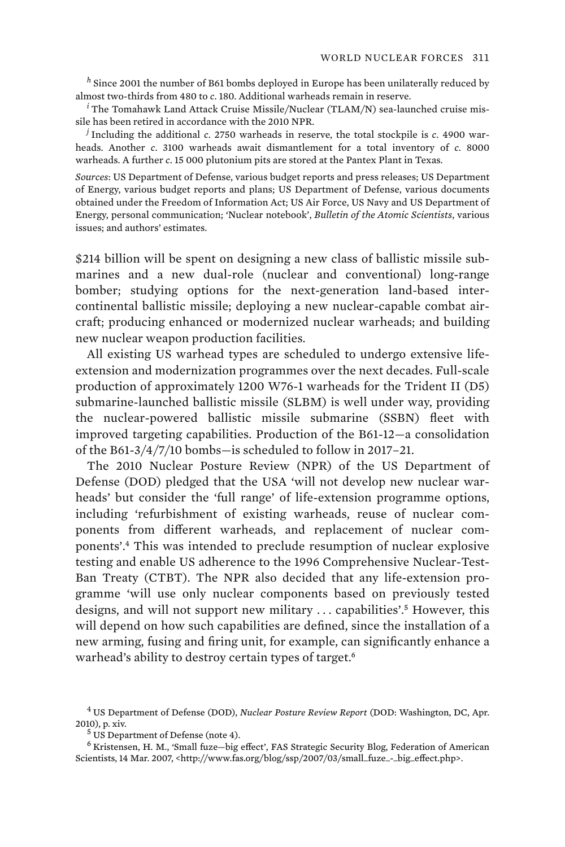*<sup>h</sup>* Since 2001 the number of B61 bombs deployed in Europe has been unilaterally reduced by almost two-thirds from 480 to *c*. 180. Additional warheads remain in reserve.

*i* The Tomahawk Land Attack Cruise Missile/Nuclear (TLAM/N) sea-launched cruise missile has been retired in accordance with the 2010 NPR.

*j* Including the additional *c*. 2750 warheads in reserve, the total stockpile is *c*. 4900 warheads. Another *c*. 3100 warheads await dismantlement for a total inventory of *c.* 8000 warheads. A further *c*. 15 000 plutonium pits are stored at the Pantex Plant in Texas.

*Sources*: US Department of Defense, various budget reports and press releases; US Department of Energy, various budget reports and plans; US Department of Defense, various documents obtained under the Freedom of Information Act; US Air Force, US Navy and US Department of Energy, personal communication; 'Nuclear notebook', *Bulletin of the Atomic Scientists*, various issues; and authors' estimates.

\$214 billion will be spent on designing a new class of ballistic missile submarines and a new dual-role (nuclear and conventional) long-range bomber; studying options for the next-generation land-based intercontinental ballistic missile; deploying a new nuclear-capable combat aircraft; producing enhanced or modernized nuclear warheads; and building new nuclear weapon production facilities.

All existing US warhead types are scheduled to undergo extensive lifeextension and modernization programmes over the next decades. Full-scale production of approximately 1200 W76-1 warheads for the Trident II (D5) submarine-launched ballistic missile (SLBM) is well under way, providing the nuclear-powered ballistic missile submarine (SSBN) fleet with improved targeting capabilities. Production of the B61-12—a consolidation of the B61-3/4/7/10 bombs—is scheduled to follow in 2017–21.

The 2010 Nuclear Posture Review (NPR) of the US Department of Defense (DOD) pledged that the USA 'will not develop new nuclear warheads' but consider the 'full range' of life-extension programme options, including 'refurbishment of existing warheads, reuse of nuclear components from different warheads, and replacement of nuclear components'.<sup>4</sup> This was intended to preclude resumption of nuclear explosive testing and enable US adherence to the 1996 Comprehensive Nuclear-Test-Ban Treaty (CTBT). The NPR also decided that any life-extension programme 'will use only nuclear components based on previously tested designs, and will not support new military ... capabilities'.<sup>5</sup> However, this will depend on how such capabilities are defined, since the installation of a new arming, fusing and firing unit, for example, can significantly enhance a warhead's ability to destroy certain types of target.<sup>6</sup>

<sup>4</sup> US Department of Defense (DOD), *Nuclear Posture Review Report* (DOD: Washington, DC, Apr. 2010), p. xiv. <sup>5</sup>

 $5$  US Department of Defense (note 4).

<sup>&</sup>lt;sup>6</sup> Kristensen, H. M., 'Small fuze-big effect', FAS Strategic Security Blog, Federation of American Scientists, 14 Mar. 2007, <http://www.fas.org/blog/ssp/2007/03/small\_fuze\_-\_big\_effect.php>.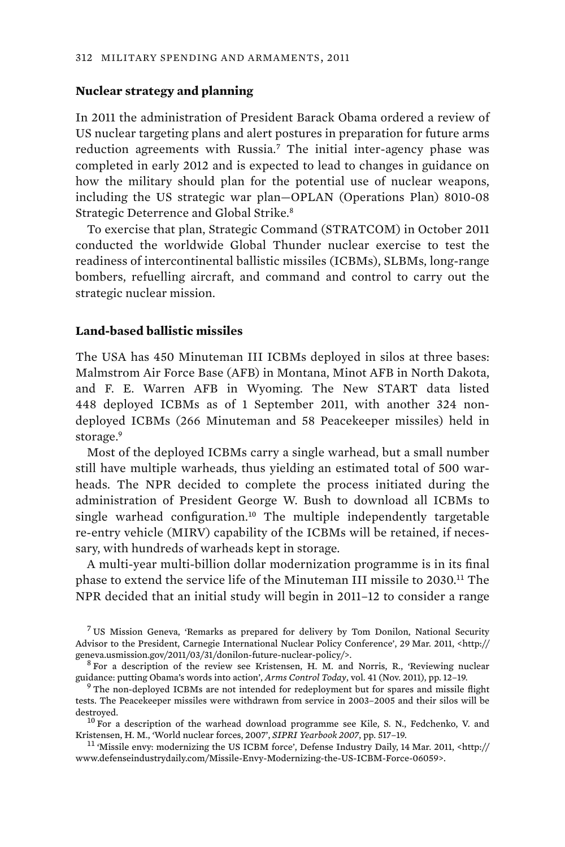#### **Nuclear strategy and planning**

In 2011 the administration of President Barack Obama ordered a review of US nuclear targeting plans and alert postures in preparation for future arms reduction agreements with Russia.<sup>7</sup> The initial inter-agency phase was completed in early 2012 and is expected to lead to changes in guidance on how the military should plan for the potential use of nuclear weapons, including the US strategic war plan—OPLAN (Operations Plan) 8010-08 Strategic Deterrence and Global Strike.<sup>8</sup>

To exercise that plan, Strategic Command (STRATCOM) in October 2011 conducted the worldwide Global Thunder nuclear exercise to test the readiness of intercontinental ballistic missiles (ICBMs), SLBMs, long-range bombers, refuelling aircraft, and command and control to carry out the strategic nuclear mission.

### **Land-based ballistic missiles**

The USA has 450 Minuteman III ICBMs deployed in silos at three bases: Malmstrom Air Force Base (AFB) in Montana, Minot AFB in North Dakota, and F. E. Warren AFB in Wyoming. The New START data listed 448 deployed ICBMs as of 1 September 2011, with another 324 nondeployed ICBMs (266 Minuteman and 58 Peacekeeper missiles) held in storage.<sup>9</sup>

 Most of the deployed ICBMs carry a single warhead, but a small number still have multiple warheads, thus yielding an estimated total of 500 warheads. The NPR decided to complete the process initiated during the administration of President George W. Bush to download all ICBMs to single warhead configuration.<sup>10</sup> The multiple independently targetable re-entry vehicle (MIRV) capability of the ICBMs will be retained, if necessary, with hundreds of warheads kept in storage.

A multi-year multi-billion dollar modernization programme is in its final phase to extend the service life of the Minuteman III missile to 2030.<sup>11</sup> The NPR decided that an initial study will begin in 2011–12 to consider a range

<sup>7</sup> US Mission Geneva, 'Remarks as prepared for delivery by Tom Donilon, National Security Advisor to the President, Carnegie International Nuclear Policy Conference', 29 Mar. 2011, <http:// geneva.usmission.gov/2011/03/31/donilon-future-nuclear-policy/>. <sup>8</sup>

Kristensen, H. M., 'World nuclear forces, 2007', *SIPRI Yearbook 2007*, pp. 517–19.<br><sup>11</sup> 'Missile envy: modernizing the US ICBM force', Defense Industry Daily, 14 Mar. 2011, <http://

www.defenseindustrydaily.com/Missile-Envy-Modernizing-the-US-ICBM-Force-06059>.

 $8$  For a description of the review see Kristensen, H. M. and Norris, R., 'Reviewing nuclear guidance: putting Obama's words into action', *Arms Control Today*, vol. 41 (Nov. 2011), pp. 12–19. <sup>9</sup>

<sup>&</sup>lt;sup>9</sup> The non-deployed ICBMs are not intended for redeployment but for spares and missile flight tests. The Peacekeeper missiles were withdrawn from service in 2003–2005 and their silos will be destroyed.  $^{10}$  For a description of the warhead download programme see Kile, S. N., Fedchenko, V. and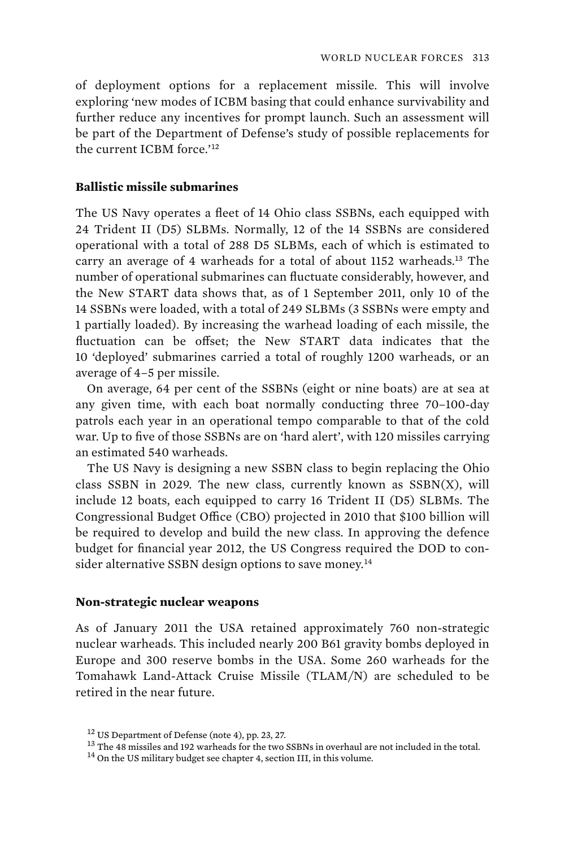of deployment options for a replacement missile. This will involve exploring 'new modes of ICBM basing that could enhance survivability and further reduce any incentives for prompt launch. Such an assessment will be part of the Department of Defense's study of possible replacements for the current ICBM force.'<sup>12</sup>

## **Ballistic missile submarines**

The US Navy operates a fleet of 14 Ohio class SSBNs, each equipped with 24 Trident II (D5) SLBMs. Normally, 12 of the 14 SSBNs are considered operational with a total of 288 D5 SLBMs, each of which is estimated to carry an average of 4 warheads for a total of about 1152 warheads.<sup>13</sup> The number of operational submarines can fluctuate considerably, however, and the New START data shows that, as of 1 September 2011, only 10 of the 14 SSBNs were loaded, with a total of 249 SLBMs (3 SSBNs were empty and 1 partially loaded). By increasing the warhead loading of each missile, the fluctuation can be offset; the New START data indicates that the 10 'deployed' submarines carried a total of roughly 1200 warheads, or an average of 4–5 per missile.

On average, 64 per cent of the SSBNs (eight or nine boats) are at sea at any given time, with each boat normally conducting three 70–100-day patrols each year in an operational tempo comparable to that of the cold war. Up to five of those SSBNs are on 'hard alert', with 120 missiles carrying an estimated 540 warheads.

The US Navy is designing a new SSBN class to begin replacing the Ohio class SSBN in 2029. The new class, currently known as  $SSBN(X)$ , will include 12 boats, each equipped to carry 16 Trident II (D5) SLBMs. The Congressional Budget Office (CBO) projected in 2010 that \$100 billion will be required to develop and build the new class. In approving the defence budget for financial year 2012, the US Congress required the DOD to consider alternative SSBN design options to save money.<sup>14</sup>

#### **Non-strategic nuclear weapons**

As of January 2011 the USA retained approximately 760 non-strategic nuclear warheads. This included nearly 200 B61 gravity bombs deployed in Europe and 300 reserve bombs in the USA. Some 260 warheads for the Tomahawk Land-Attack Cruise Missile (TLAM/N) are scheduled to be retired in the near future.

<sup>&</sup>lt;sup>12</sup> US Department of Defense (note 4), pp. 23, 27.<br><sup>13</sup> The 48 missiles and 192 warheads for the two SSBNs in overhaul are not included in the total.<br><sup>14</sup> On the US military budget see chapter 4, section III, in this vol